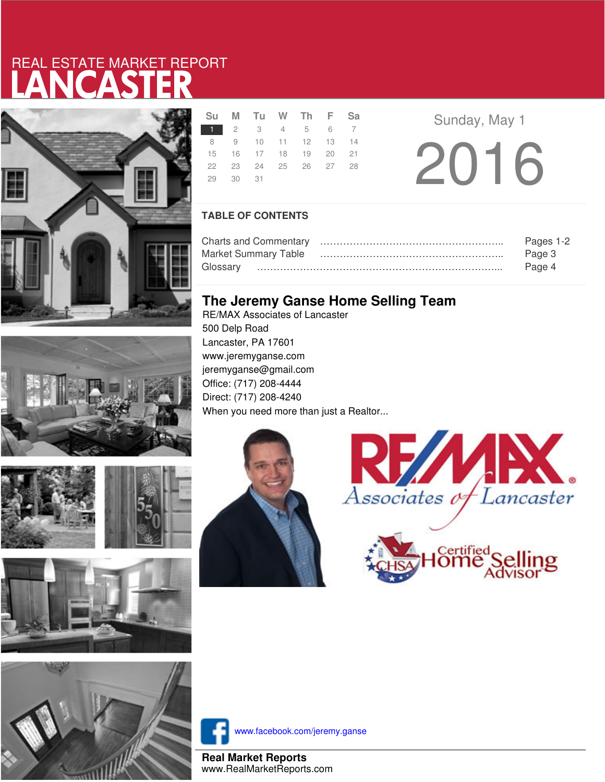# LANCASTER REAL ESTATE MARKET REPORT



|          | Su M Tu W Th F Sa    |  |  |
|----------|----------------------|--|--|
|          | 1 2 3 4 5 6 7        |  |  |
|          | 8 9 10 11 12 13 14   |  |  |
|          | 15 16 17 18 19 20 21 |  |  |
|          | 22 23 24 25 26 27 28 |  |  |
| 29 30 31 |                      |  |  |
|          |                      |  |  |

**R Example 2** Sunday, May 1 20 16

### **TABLE OF CONTENTS**

|                             | Pages 1-2 |
|-----------------------------|-----------|
| <b>Market Summary Table</b> | Page 3    |
|                             | Page 4    |

## **The Jeremy Ganse Home Selling Team**

RE/MAX Associates of Lancaster 500 Delp Road Lancaster, PA 17601 www.jeremyganse.com jeremyganse@gmail.com Office: (717) 208-4444 Direct: (717) 208-4240 When you need more than just a Realtor...









www.facebook.com/jeremy.ganse

**Real Market Reports** www.RealMarketReports.com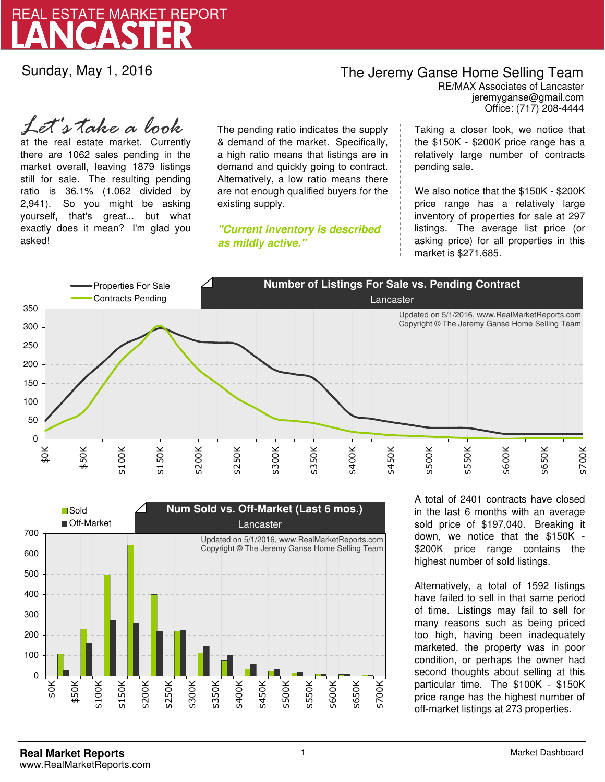

Sunday, May 1, 2016

## The Jeremy Ganse Home Selling Team

jeremyganse@gmail.com RE/MAX Associates of Lancaster Office: (717) 208-4444

at the real estate market. Currently there are 1062 sales pending in the market overall, leaving 1879 listings still for sale. The resulting pending ratio is 36.1% (1,062 divided by 2,941). So you might be asking yourself, that's great... but what exactly does it mean? I'm glad you asked! *Let's take a look*

The pending ratio indicates the supply & demand of the market. Specifically, a high ratio means that listings are in demand and quickly going to contract. Alternatively, a low ratio means there are not enough qualified buyers for the existing supply.

**"Current inventory is described as mildly active."**

Taking a closer look, we notice that the \$150K - \$200K price range has a relatively large number of contracts pending sale.

We also notice that the \$150K - \$200K price range has a relatively large inventory of properties for sale at 297 listings. The average list price (or asking price) for all properties in this market is \$271,685.





A total of 2401 contracts have closed in the last 6 months with an average sold price of \$197,040. Breaking it down, we notice that the \$150K - \$200K price range contains the highest number of sold listings.

Alternatively, a total of 1592 listings have failed to sell in that same period of time. Listings may fail to sell for many reasons such as being priced too high, having been inadequately marketed, the property was in poor condition, or perhaps the owner had second thoughts about selling at this particular time. The \$100K - \$150K price range has the highest number of off-market listings at 273 properties.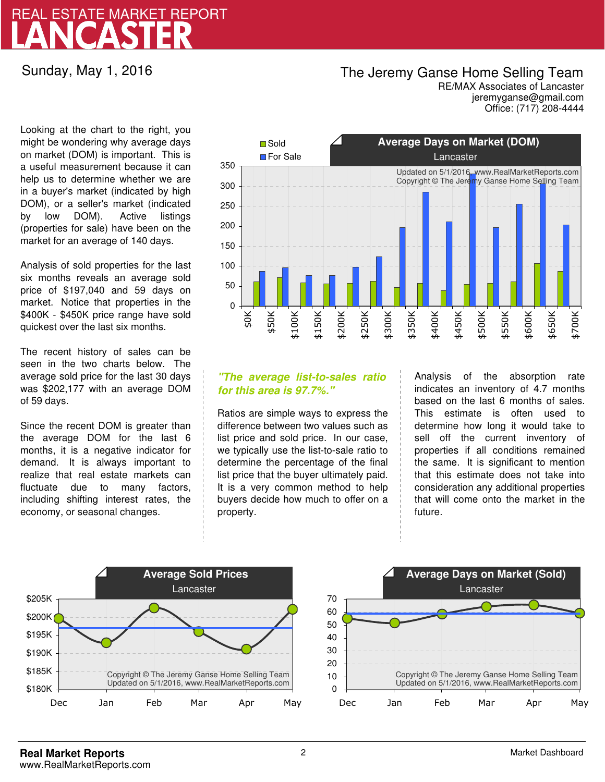# LANCASTER REAL ESTATE MARKET REPORT

Sunday, May 1, 2016

### The Jeremy Ganse Home Selling Team

jeremyganse@gmail.com RE/MAX Associates of Lancaster Office: (717) 208-4444

Looking at the chart to the right, you might be wondering why average days on market (DOM) is important. This is a useful measurement because it can help us to determine whether we are in a buyer's market (indicated by high DOM), or a seller's market (indicated by low DOM). Active listings (properties for sale) have been on the market for an average of 140 days.

Analysis of sold properties for the last six months reveals an average sold price of \$197,040 and 59 days on market. Notice that properties in the \$400K - \$450K price range have sold quickest over the last six months.

The recent history of sales can be seen in the two charts below. The average sold price for the last 30 days was \$202,177 with an average DOM of 59 days.

Since the recent DOM is greater than the average DOM for the last 6 months, it is a negative indicator for demand. It is always important to realize that real estate markets can fluctuate due to many factors, including shifting interest rates, the economy, or seasonal changes.



### **"The average list-to-sales ratio for this area is 97.7%."**

Ratios are simple ways to express the difference between two values such as list price and sold price. In our case, we typically use the list-to-sale ratio to determine the percentage of the final list price that the buyer ultimately paid. It is a very common method to help buyers decide how much to offer on a property.

Analysis of the absorption rate indicates an inventory of 4.7 months based on the last 6 months of sales. This estimate is often used to determine how long it would take to sell off the current inventory of properties if all conditions remained the same. It is significant to mention that this estimate does not take into consideration any additional properties that will come onto the market in the future.



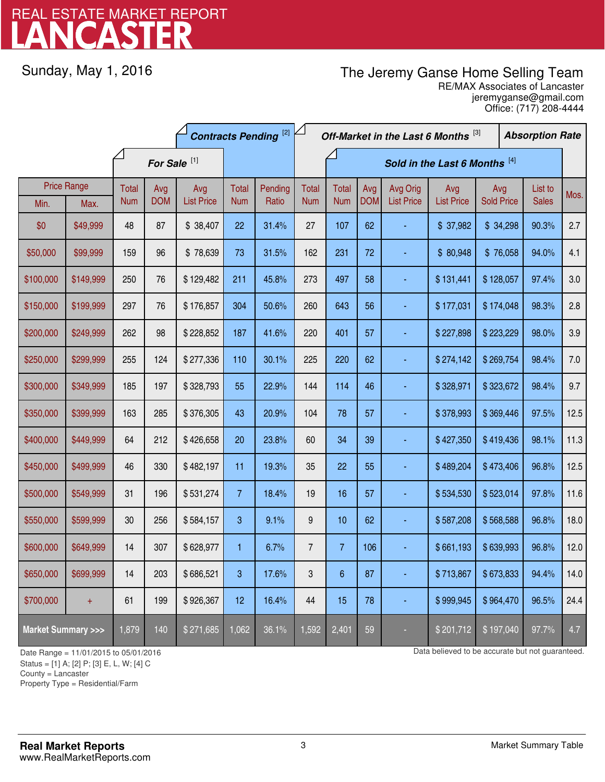# LANCASTER REAL ESTATE MARKET REPORT

Sunday, May 1, 2016

## The Jeremy Ganse Home Selling Team

jeremyganse@gmail.com RE/MAX Associates of Lancaster Office: (717) 208-4444

|                                    |                    | <b>Contracts Pending [2]</b> |            |                   |                |         |                               | Off-Market in the Last 6 Months [3]<br><b>Absorption Rate</b> |            |                   |                   |                   |  |              |      |
|------------------------------------|--------------------|------------------------------|------------|-------------------|----------------|---------|-------------------------------|---------------------------------------------------------------|------------|-------------------|-------------------|-------------------|--|--------------|------|
|                                    |                    | For Sale <sup>[1]</sup>      |            |                   |                |         | Sold in the Last 6 Months [4] |                                                               |            |                   |                   |                   |  |              |      |
|                                    | <b>Price Range</b> | Total                        | Avg        | Avg               | Total          | Pending | <b>Total</b>                  | <b>Total</b>                                                  | Avg        | Avg Orig          | Avg               | Avg               |  | List to      | Mos. |
| Min.                               | Max.               | <b>Num</b>                   | <b>DOM</b> | <b>List Price</b> | <b>Num</b>     | Ratio   | <b>Num</b>                    | <b>Num</b>                                                    | <b>DOM</b> | <b>List Price</b> | <b>List Price</b> | <b>Sold Price</b> |  | <b>Sales</b> |      |
| \$0                                | \$49,999           | 48                           | 87         | \$38,407          | 22             | 31.4%   | 27                            | 107                                                           | 62         |                   | \$37,982          | \$34,298          |  | 90.3%        | 2.7  |
| \$50,000                           | \$99,999           | 159                          | 96         | \$78,639          | 73             | 31.5%   | 162                           | 231                                                           | 72         |                   | \$80,948          | \$76,058          |  | 94.0%        | 4.1  |
| \$100,000                          | \$149,999          | 250                          | 76         | \$129,482         | 211            | 45.8%   | 273                           | 497                                                           | 58         |                   | \$131,441         | \$128,057         |  | 97.4%        | 3.0  |
| \$150,000                          | \$199,999          | 297                          | 76         | \$176,857         | 304            | 50.6%   | 260                           | 643                                                           | 56         |                   | \$177,031         | \$174,048         |  | 98.3%        | 2.8  |
| \$200,000                          | \$249,999          | 262                          | 98         | \$228,852         | 187            | 41.6%   | 220                           | 401                                                           | 57         |                   | \$227,898         | \$223,229         |  | 98.0%        | 3.9  |
| \$250,000                          | \$299,999          | 255                          | 124        | \$277,336         | 110            | 30.1%   | 225                           | 220                                                           | 62         |                   | \$274,142         | \$269,754         |  | 98.4%        | 7.0  |
| \$300,000                          | \$349,999          | 185                          | 197        | \$328,793         | 55             | 22.9%   | 144                           | 114                                                           | 46         |                   | \$328,971         | \$323,672         |  | 98.4%        | 9.7  |
| \$350,000                          | \$399,999          | 163                          | 285        | \$376,305         | 43             | 20.9%   | 104                           | 78                                                            | 57         |                   | \$378,993         | \$369,446         |  | 97.5%        | 12.5 |
| \$400,000                          | \$449,999          | 64                           | 212        | \$426,658         | 20             | 23.8%   | 60                            | 34                                                            | 39         |                   | \$427,350         | \$419,436         |  | 98.1%        | 11.3 |
| \$450,000                          | \$499,999          | 46                           | 330        | \$482,197         | 11             | 19.3%   | 35                            | 22                                                            | 55         | ä,                | \$489,204         | \$473,406         |  | 96.8%        | 12.5 |
| \$500,000                          | \$549,999          | 31                           | 196        | \$531,274         | $\overline{7}$ | 18.4%   | 19                            | 16                                                            | 57         |                   | \$534,530         | \$523,014         |  | 97.8%        | 11.6 |
| \$550,000                          | \$599,999          | 30                           | 256        | \$584,157         | 3              | 9.1%    | 9                             | 10                                                            | 62         |                   | \$587,208         | \$568,588         |  | 96.8%        | 18.0 |
| \$600,000                          | \$649,999          | 14                           | 307        | \$628,977         | 1              | 6.7%    | $\overline{7}$                | $\overline{7}$                                                | 106        |                   | \$661,193         | \$639,993         |  | 96.8%        | 12.0 |
| \$650,000                          | \$699,999          | 14                           | 203        | \$686,521         | 3              | 17.6%   | 3                             | $6\phantom{1}6$                                               | 87         |                   | \$713,867         | \$673,833         |  | 94.4%        | 14.0 |
| \$700,000                          | $+$                | 61                           | 199        | \$926,367         | 12             | 16.4%   | 44                            | 15                                                            | 78         |                   | \$999,945         | \$964,470         |  | 96.5%        | 24.4 |
| <b>Market Summary &gt;&gt;&gt;</b> |                    | 1,879                        | 140        | \$271,685         | 1,062          | 36.1%   | 1,592                         | 2,401                                                         | 59         |                   | \$201,712         | \$197,040         |  | 97.7%        | 4.7  |

Status = [1] A; [2] P; [3] E, L, W; [4] C

County = Lancaster

-

Property Type = Residential/Farm

Date Range = 11/01/2015 to 05/01/2016 Data believed to be accurate but not guaranteed.